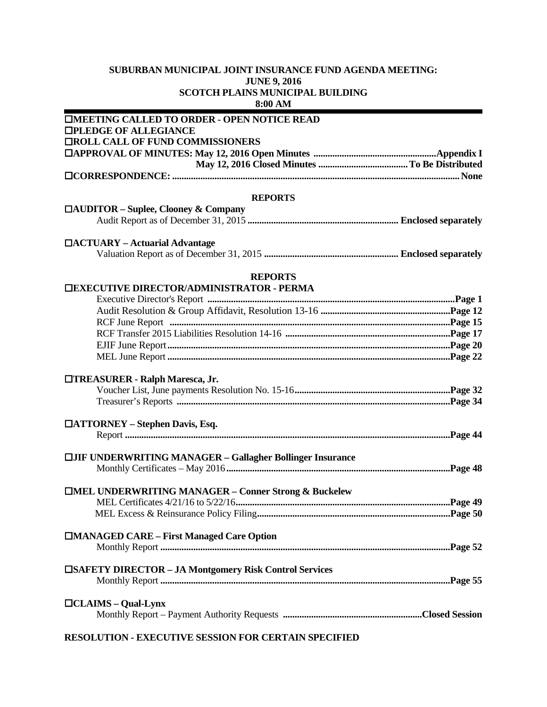## **SUBURBAN MUNICIPAL JOINT INSURANCE FUND AGENDA MEETING: JUNE 9, 2016 SCOTCH PLAINS MUNICIPAL BUILDING 8:00 AM**

| <b>IMEETING CALLED TO ORDER - OPEN NOTICE READ</b>                 |  |
|--------------------------------------------------------------------|--|
| <b>OPLEDGE OF ALLEGIANCE</b>                                       |  |
| <b>TROLL CALL OF FUND COMMISSIONERS</b>                            |  |
|                                                                    |  |
|                                                                    |  |
|                                                                    |  |
| <b>REPORTS</b>                                                     |  |
| $\Box$ AUDITOR – Suplee, Clooney & Company                         |  |
|                                                                    |  |
| □ACTUARY – Actuarial Advantage                                     |  |
|                                                                    |  |
|                                                                    |  |
| <b>REPORTS</b><br><b>TEXECUTIVE DIRECTOR/ADMINISTRATOR - PERMA</b> |  |
|                                                                    |  |
|                                                                    |  |
|                                                                    |  |
|                                                                    |  |
|                                                                    |  |
|                                                                    |  |
|                                                                    |  |
| □TREASURER - Ralph Maresca, Jr.                                    |  |
|                                                                    |  |
|                                                                    |  |
| □ATTORNEY – Stephen Davis, Esq.                                    |  |
|                                                                    |  |
|                                                                    |  |
| <b>CIJIF UNDERWRITING MANAGER - Gallagher Bollinger Insurance</b>  |  |
|                                                                    |  |
| □MEL UNDERWRITING MANAGER - Conner Strong & Buckelew               |  |
|                                                                    |  |
|                                                                    |  |
|                                                                    |  |
| □MANAGED CARE – First Managed Care Option                          |  |
|                                                                    |  |
|                                                                    |  |
| <b>ESAFETY DIRECTOR - JA Montgomery Risk Control Services</b>      |  |
|                                                                    |  |
| $\Box$ CLAIMS – Qual-Lynx                                          |  |
|                                                                    |  |
|                                                                    |  |

## **RESOLUTION - EXECUTIVE SESSION FOR CERTAIN SPECIFIED**